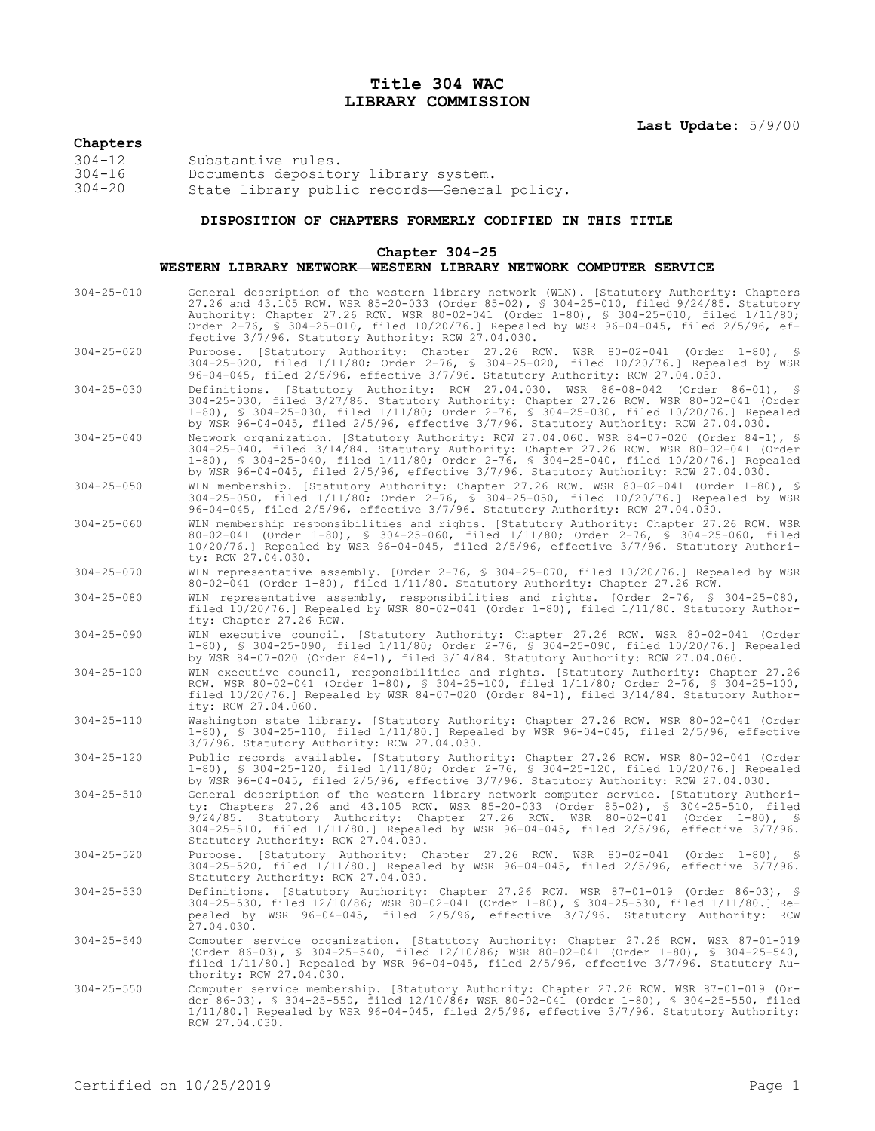## **Title 304 WAC LIBRARY COMMISSION**

# **Chapters**

304-12<br>
304-16 Substantive rules.<br>
304-20 State library publ Documents depository library system. State library public records—General policy.

### **DISPOSITION OF CHAPTERS FORMERLY CODIFIED IN THIS TITLE**

#### **Chapter 304-25**

#### **WESTERN LIBRARY NETWORK—WESTERN LIBRARY NETWORK COMPUTER SERVICE**

| $304 - 25 - 010$ | General description of the western library network (WLN). [Statutory Authority: Chapters<br>27.26 and 43.105 RCW. WSR 85-20-033 (Order 85-02), \$ 304-25-010, filed 9/24/85. Statutory<br>Authority: Chapter 27.26 RCW. WSR 80-02-041 (Order 1-80), § 304-25-010, filed 1/11/80;<br>Order 2-76, § 304-25-010, filed 10/20/76.] Repealed by WSR 96-04-045, filed 2/5/96, ef-<br>fective 3/7/96. Statutory Authority: RCW 27.04.030. |
|------------------|------------------------------------------------------------------------------------------------------------------------------------------------------------------------------------------------------------------------------------------------------------------------------------------------------------------------------------------------------------------------------------------------------------------------------------|
| $304 - 25 - 020$ | Purpose. [Statutory Authority: Chapter 27.26 RCW. WSR 80-02-041 (Order 1-80), §<br>304-25-020, filed 1/11/80; Order 2-76, § 304-25-020, filed 10/20/76.] Repealed by WSR<br>96-04-045, filed 2/5/96, effective 3/7/96. Statutory Authority: RCW 27.04.030.                                                                                                                                                                         |
| $304 - 25 - 030$ | Definitions. [Statutory Authority: RCW 27.04.030. WSR 86-08-042 (Order 86-01), §<br>304-25-030, filed 3/27/86. Statutory Authority: Chapter 27.26 RCW. WSR 80-02-041 (Order<br>1-80), § 304-25-030, filed 1/11/80; Order 2-76, § 304-25-030, filed 10/20/76.] Repealed<br>by WSR 96-04-045, filed 2/5/96, effective 3/7/96. Statutory Authority: RCW 27.04.030.                                                                    |
| $304 - 25 - 040$ | Network organization. [Statutory Authority: RCW 27.04.060. WSR 84-07-020 (Order 84-1), §<br>304-25-040, filed 3/14/84. Statutory Authority: Chapter 27.26 RCW. WSR 80-02-041 (Order<br>1-80), § 304-25-040, filed 1/11/80; Order 2-76, § 304-25-040, filed 10/20/76.] Repealed<br>by WSR 96-04-045, filed 2/5/96, effective 3/7/96. Statutory Authority: RCW 27.04.030.                                                            |
| $304 - 25 - 050$ | WLN membership. [Statutory Authority: Chapter 27.26 RCW. WSR 80-02-041 (Order 1-80), §<br>304-25-050, filed 1/11/80; Order 2-76, \$ 304-25-050, filed 10/20/76.] Repealed by WSR<br>96-04-045, filed 2/5/96, effective 3/7/96. Statutory Authority: RCW 27.04.030.                                                                                                                                                                 |
| $304 - 25 - 060$ | WLN membership responsibilities and rights. [Statutory Authority: Chapter 27.26 RCW. WSR<br>80-02-041 (Order 1-80), § 304-25-060, filed 1/11/80; Order 2-76, § 304-25-060, filed<br>10/20/76.] Repealed by WSR 96-04-045, filed 2/5/96, effective 3/7/96. Statutory Authori-<br>ty: RCW 27.04.030.                                                                                                                                 |
| $304 - 25 - 070$ | WLN representative assembly. [Order 2-76, § 304-25-070, filed 10/20/76.] Repealed by WSR<br>80-02-041 (Order 1-80), filed $1/11/80$ . Statutory Authority: Chapter 27.26 RCW.                                                                                                                                                                                                                                                      |
| $304 - 25 - 080$ | WLN representative assembly, responsibilities and rights. [Order 2-76, § 304-25-080,<br>filed $10/20/76$ . Repealed by WSR 80-02-041 (Order 1-80), filed $1/11/80$ . Statutory Author-<br>ity: Chapter 27.26 RCW.                                                                                                                                                                                                                  |
| $304 - 25 - 090$ | WLN executive council. [Statutory Authority: Chapter 27.26 RCW. WSR 80-02-041 (Order<br>1-80), § 304-25-090, filed 1/11/80; Order 2-76, § 304-25-090, filed 10/20/76.] Repealed<br>by WSR 84-07-020 (Order 84-1), filed 3/14/84. Statutory Authority: RCW 27.04.060.                                                                                                                                                               |
| $304 - 25 - 100$ | WLN executive council, responsibilities and rights. [Statutory Authority: Chapter 27.26<br>RCW. WSR 80-02-041 (Order 1-80), § 304-25-100, filed 1/11/80; Order 2-76, § 304-25-100,<br>filed 10/20/76.] Repealed by WSR 84-07-020 (Order 84-1), filed 3/14/84. Statutory Author-<br>ity: RCW 27.04.060.                                                                                                                             |
| $304 - 25 - 110$ | Washington state library. [Statutory Authority: Chapter 27.26 RCW. WSR 80-02-041 (Order<br>$1-80$ , § 304-25-110, filed $1/11/80$ . Repealed by WSR 96-04-045, filed 2/5/96, effective<br>3/7/96. Statutory Authority: RCW 27.04.030.                                                                                                                                                                                              |
| $304 - 25 - 120$ | Public records available. [Statutory Authority: Chapter 27.26 RCW. WSR 80-02-041 (Order<br>1-80), § 304-25-120, filed 1/11/80; Order 2-76, § 304-25-120, filed 10/20/76.] Repealed<br>by WSR 96-04-045, filed 2/5/96, effective 3/7/96. Statutory Authority: RCW 27.04.030.                                                                                                                                                        |
| $304 - 25 - 510$ | General description of the western library network computer service. [Statutory Authori-<br>ty: Chapters 27.26 and 43.105 RCW. WSR 85-20-033 (Order 85-02), § 304-25-510, filed<br>$9/24/85$ . Statutory Authority: Chapter 27.26 RCW. WSR 80-02-041 (Order 1-80), §<br>304-25-510, filed 1/11/80.] Repealed by WSR 96-04-045, filed 2/5/96, effective 3/7/96.<br>Statutory Authority: RCW 27.04.030.                              |
| $304 - 25 - 520$ | Purpose. [Statutory Authority: Chapter 27.26 RCW. WSR 80-02-041 (Order 1-80), §<br>304-25-520, filed 1/11/80.] Repealed by WSR 96-04-045, filed 2/5/96, effective 3/7/96.<br>Statutory Authority: RCW 27.04.030.                                                                                                                                                                                                                   |
| $304 - 25 - 530$ | Definitions. [Statutory Authority: Chapter 27.26 RCW. WSR 87-01-019 (Order 86-03), §<br>304-25-530, filed 12/10/86; WSR 80-02-041 (Order 1-80), § 304-25-530, filed 1/11/80.] Re-<br>pealed by WSR 96-04-045, filed 2/5/96, effective 3/7/96. Statutory Authority: RCW<br>27.04.030.                                                                                                                                               |
| $304 - 25 - 540$ | Computer service organization. [Statutory Authority: Chapter 27.26 RCW. WSR 87-01-019<br>(Order 86-03), § 304-25-540, filed 12/10/86; WSR 80-02-041 (Order 1-80), § 304-25-540,<br>filed 1/11/80.] Repealed by WSR 96-04-045, filed 2/5/96, effective 3/7/96. Statutory Au-<br>thority: RCW 27.04.030.                                                                                                                             |
| $304 - 25 - 550$ | Computer service membership. [Statutory Authority: Chapter 27.26 RCW. WSR 87-01-019 (Or-<br>der 86-03), § 304-25-550, filed 12/10/86; WSR 80-02-041 (Order 1-80), § 304-25-550, filed<br>$1/11/80.$ ] Repealed by WSR 96-04-045, filed 2/5/96, effective 3/7/96. Statutory Authority:<br>RCW 27.04.030.                                                                                                                            |